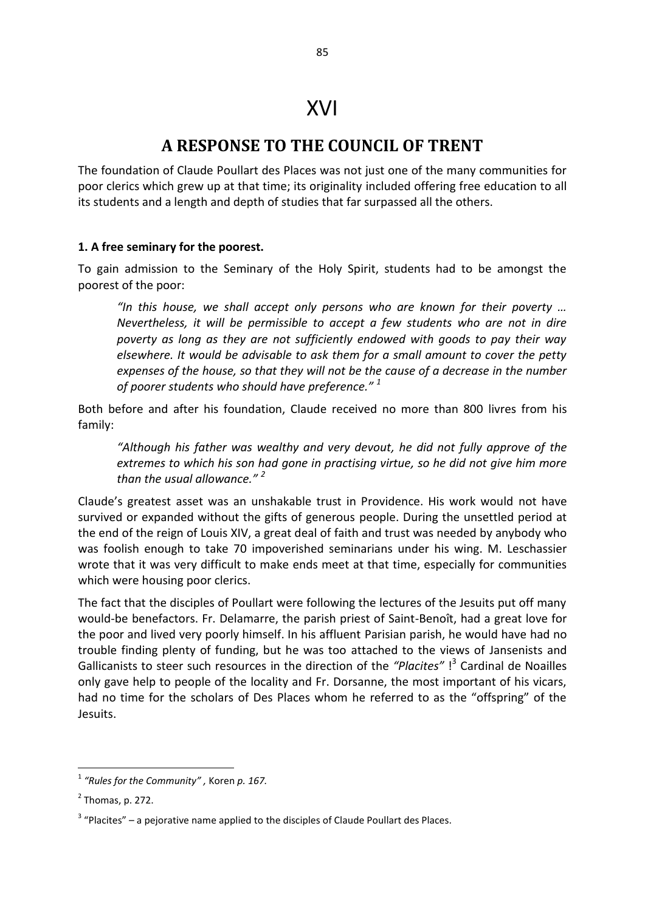85

# **A RESPONSE TO THE COUNCIL OF TRENT**

The foundation of Claude Poullart des Places was not just one of the many communities for poor clerics which grew up at that time; its originality included offering free education to all its students and a length and depth of studies that far surpassed all the others.

### **1. A free seminary for the poorest.**

To gain admission to the Seminary of the Holy Spirit, students had to be amongst the poorest of the poor:

*"In this house, we shall accept only persons who are known for their poverty … Nevertheless, it will be permissible to accept a few students who are not in dire poverty as long as they are not sufficiently endowed with goods to pay their way elsewhere. It would be advisable to ask them for a small amount to cover the petty expenses of the house, so that they will not be the cause of a decrease in the number of poorer students who should have preference." <sup>1</sup>* 

Both before and after his foundation, Claude received no more than 800 livres from his family:

*"Although his father was wealthy and very devout, he did not fully approve of the extremes to which his son had gone in practising virtue, so he did not give him more than the usual allowance." <sup>2</sup>*

Claude's greatest asset was an unshakable trust in Providence. His work would not have survived or expanded without the gifts of generous people. During the unsettled period at the end of the reign of Louis XIV, a great deal of faith and trust was needed by anybody who was foolish enough to take 70 impoverished seminarians under his wing. M. Leschassier wrote that it was very difficult to make ends meet at that time, especially for communities which were housing poor clerics.

The fact that the disciples of Poullart were following the lectures of the Jesuits put off many would-be benefactors. Fr. Delamarre, the parish priest of Saint-Benoît, had a great love for the poor and lived very poorly himself. In his affluent Parisian parish, he would have had no trouble finding plenty of funding, but he was too attached to the views of Jansenists and Gallicanists to steer such resources in the direction of the *"Placites"* ! 3 Cardinal de Noailles only gave help to people of the locality and Fr. Dorsanne, the most important of his vicars, had no time for the scholars of Des Places whom he referred to as the "offspring" of the Jesuits.

 1 *"Rules for the Community" ,* Koren *p. 167.* 

 $<sup>2</sup>$  Thomas, p. 272.</sup>

 $3$  "Placites" – a pejorative name applied to the disciples of Claude Poullart des Places.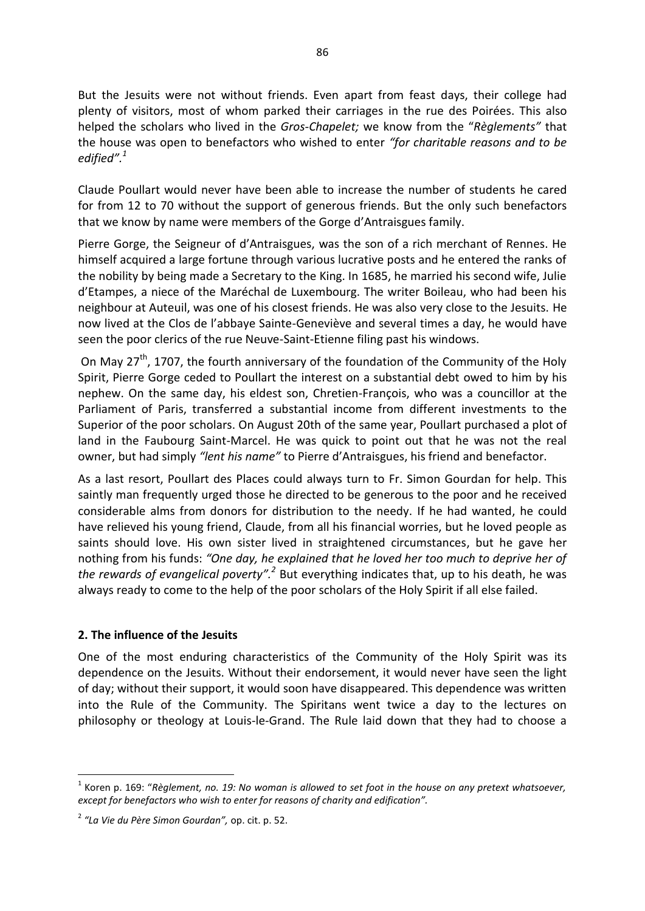But the Jesuits were not without friends. Even apart from feast days, their college had plenty of visitors, most of whom parked their carriages in the rue des Poirées. This also helped the scholars who lived in the *Gros-Chapelet;* we know from the "*Règlements"* that the house was open to benefactors who wished to enter *"for charitable reasons and to be edified".<sup>1</sup>* 

Claude Poullart would never have been able to increase the number of students he cared for from 12 to 70 without the support of generous friends. But the only such benefactors that we know by name were members of the Gorge d'Antraisgues family.

Pierre Gorge, the Seigneur of d'Antraisgues, was the son of a rich merchant of Rennes. He himself acquired a large fortune through various lucrative posts and he entered the ranks of the nobility by being made a Secretary to the King. In 1685, he married his second wife, Julie d'Etampes, a niece of the Maréchal de Luxembourg. The writer Boileau, who had been his neighbour at Auteuil, was one of his closest friends. He was also very close to the Jesuits. He now lived at the Clos de l'abbaye Sainte-Geneviève and several times a day, he would have seen the poor clerics of the rue Neuve-Saint-Etienne filing past his windows.

On May  $27^{th}$ , 1707, the fourth anniversary of the foundation of the Community of the Holy Spirit, Pierre Gorge ceded to Poullart the interest on a substantial debt owed to him by his nephew. On the same day, his eldest son, Chretien-François, who was a councillor at the Parliament of Paris, transferred a substantial income from different investments to the Superior of the poor scholars. On August 20th of the same year, Poullart purchased a plot of land in the Faubourg Saint-Marcel. He was quick to point out that he was not the real owner, but had simply *"lent his name"* to Pierre d'Antraisgues, his friend and benefactor.

As a last resort, Poullart des Places could always turn to Fr. Simon Gourdan for help. This saintly man frequently urged those he directed to be generous to the poor and he received considerable alms from donors for distribution to the needy. If he had wanted, he could have relieved his young friend, Claude, from all his financial worries, but he loved people as saints should love. His own sister lived in straightened circumstances, but he gave her nothing from his funds: *"One day, he explained that he loved her too much to deprive her of*  the rewards of evangelical poverty".<sup>2</sup> But everything indicates that, up to his death, he was always ready to come to the help of the poor scholars of the Holy Spirit if all else failed.

### **2. The influence of the Jesuits**

**.** 

One of the most enduring characteristics of the Community of the Holy Spirit was its dependence on the Jesuits. Without their endorsement, it would never have seen the light of day; without their support, it would soon have disappeared. This dependence was written into the Rule of the Community. The Spiritans went twice a day to the lectures on philosophy or theology at Louis-le-Grand. The Rule laid down that they had to choose a

<sup>&</sup>lt;sup>1</sup> Koren p. 169: "Règlement, no. 19: No woman is allowed to set foot in the house on any pretext whatsoever, *except for benefactors who wish to enter for reasons of charity and edification".* 

<sup>2</sup> *"La Vie du Père Simon Gourdan",* op. cit. p. 52.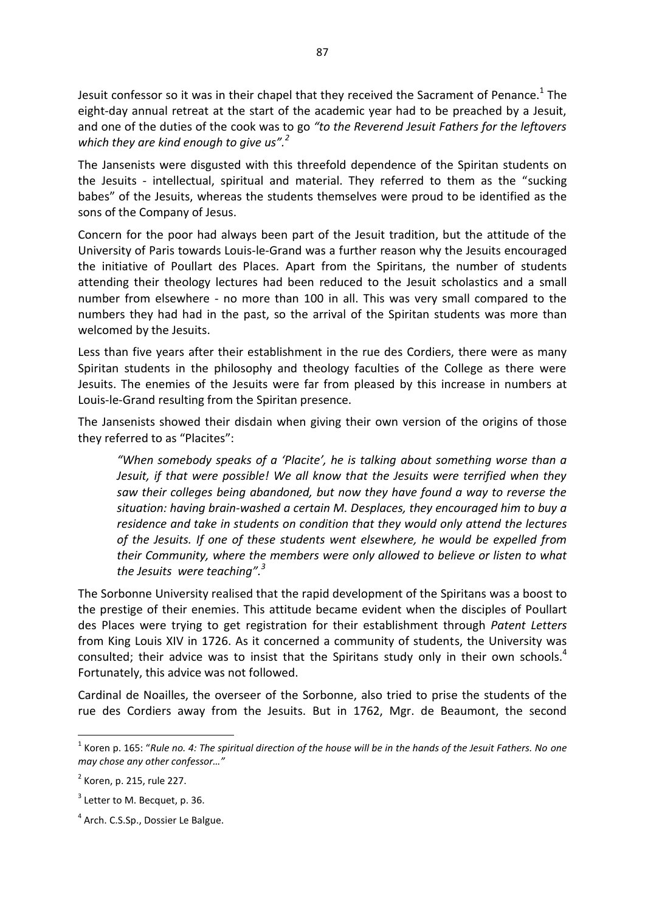Jesuit confessor so it was in their chapel that they received the Sacrament of Penance.<sup>1</sup> The eight-day annual retreat at the start of the academic year had to be preached by a Jesuit, and one of the duties of the cook was to go *"to the Reverend Jesuit Fathers for the leftovers which they are kind enough to give us".<sup>2</sup>*

The Jansenists were disgusted with this threefold dependence of the Spiritan students on the Jesuits - intellectual, spiritual and material. They referred to them as the "sucking babes" of the Jesuits, whereas the students themselves were proud to be identified as the sons of the Company of Jesus.

Concern for the poor had always been part of the Jesuit tradition, but the attitude of the University of Paris towards Louis-le-Grand was a further reason why the Jesuits encouraged the initiative of Poullart des Places. Apart from the Spiritans, the number of students attending their theology lectures had been reduced to the Jesuit scholastics and a small number from elsewhere - no more than 100 in all. This was very small compared to the numbers they had had in the past, so the arrival of the Spiritan students was more than welcomed by the Jesuits.

Less than five years after their establishment in the rue des Cordiers, there were as many Spiritan students in the philosophy and theology faculties of the College as there were Jesuits. The enemies of the Jesuits were far from pleased by this increase in numbers at Louis-le-Grand resulting from the Spiritan presence.

The Jansenists showed their disdain when giving their own version of the origins of those they referred to as "Placites":

*"When somebody speaks of a 'Placite', he is talking about something worse than a Jesuit, if that were possible! We all know that the Jesuits were terrified when they saw their colleges being abandoned, but now they have found a way to reverse the situation: having brain-washed a certain M. Desplaces, they encouraged him to buy a residence and take in students on condition that they would only attend the lectures of the Jesuits. If one of these students went elsewhere, he would be expelled from their Community, where the members were only allowed to believe or listen to what the Jesuits were teaching".<sup>3</sup>* 

The Sorbonne University realised that the rapid development of the Spiritans was a boost to the prestige of their enemies. This attitude became evident when the disciples of Poullart des Places were trying to get registration for their establishment through *Patent Letters* from King Louis XIV in 1726. As it concerned a community of students, the University was consulted; their advice was to insist that the Spiritans study only in their own schools.<sup>4</sup> Fortunately, this advice was not followed.

Cardinal de Noailles, the overseer of the Sorbonne, also tried to prise the students of the rue des Cordiers away from the Jesuits. But in 1762, Mgr. de Beaumont, the second

1

<sup>1</sup> Koren p. 165: "*Rule no. 4: The spiritual direction of the house will be in the hands of the Jesuit Fathers. No one may chose any other confessor…"*

<sup>&</sup>lt;sup>2</sup> Koren, p. 215, rule 227.

 $3$  Letter to M. Becquet, p. 36.

<sup>&</sup>lt;sup>4</sup> Arch. C.S.Sp., Dossier Le Balgue.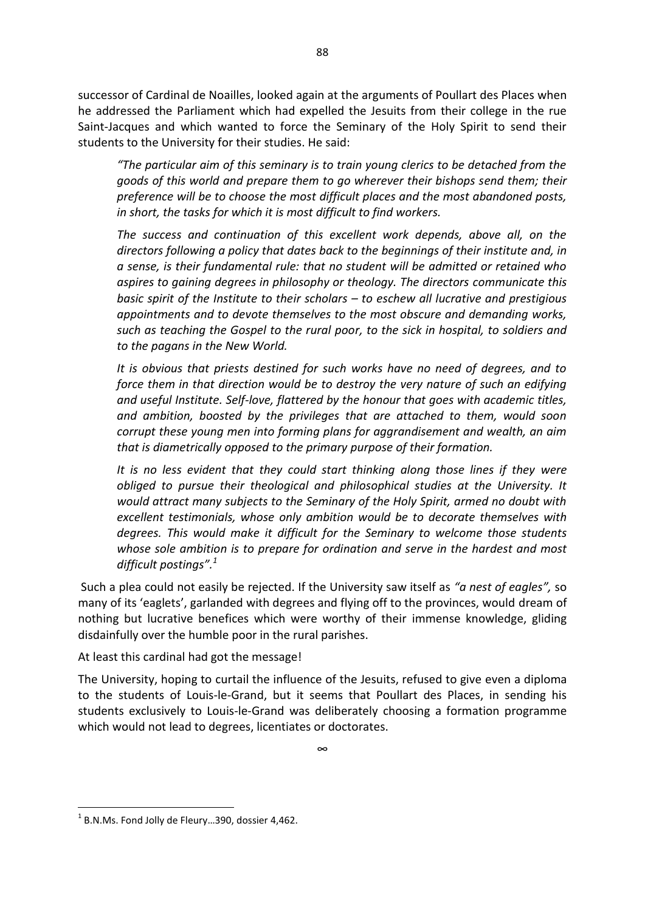successor of Cardinal de Noailles, looked again at the arguments of Poullart des Places when he addressed the Parliament which had expelled the Jesuits from their college in the rue Saint-Jacques and which wanted to force the Seminary of the Holy Spirit to send their students to the University for their studies. He said:

*"The particular aim of this seminary is to train young clerics to be detached from the goods of this world and prepare them to go wherever their bishops send them; their preference will be to choose the most difficult places and the most abandoned posts, in short, the tasks for which it is most difficult to find workers.* 

*The success and continuation of this excellent work depends, above all, on the directors following a policy that dates back to the beginnings of their institute and, in a sense, is their fundamental rule: that no student will be admitted or retained who aspires to gaining degrees in philosophy or theology. The directors communicate this basic spirit of the Institute to their scholars – to eschew all lucrative and prestigious appointments and to devote themselves to the most obscure and demanding works, such as teaching the Gospel to the rural poor, to the sick in hospital, to soldiers and to the pagans in the New World.* 

*It is obvious that priests destined for such works have no need of degrees, and to force them in that direction would be to destroy the very nature of such an edifying and useful Institute. Self-love, flattered by the honour that goes with academic titles, and ambition, boosted by the privileges that are attached to them, would soon corrupt these young men into forming plans for aggrandisement and wealth, an aim that is diametrically opposed to the primary purpose of their formation.* 

*It is no less evident that they could start thinking along those lines if they were obliged to pursue their theological and philosophical studies at the University. It would attract many subjects to the Seminary of the Holy Spirit, armed no doubt with excellent testimonials, whose only ambition would be to decorate themselves with degrees. This would make it difficult for the Seminary to welcome those students whose sole ambition is to prepare for ordination and serve in the hardest and most difficult postings".<sup>1</sup>* 

 Such a plea could not easily be rejected. If the University saw itself as *"a nest of eagles",* so many of its 'eaglets', garlanded with degrees and flying off to the provinces, would dream of nothing but lucrative benefices which were worthy of their immense knowledge, gliding disdainfully over the humble poor in the rural parishes.

At least this cardinal had got the message!

The University, hoping to curtail the influence of the Jesuits, refused to give even a diploma to the students of Louis-le-Grand, but it seems that Poullart des Places, in sending his students exclusively to Louis-le-Grand was deliberately choosing a formation programme which would not lead to degrees, licentiates or doctorates.

**.** 

 $1$  B.N.Ms. Fond Jolly de Fleury...390, dossier 4,462.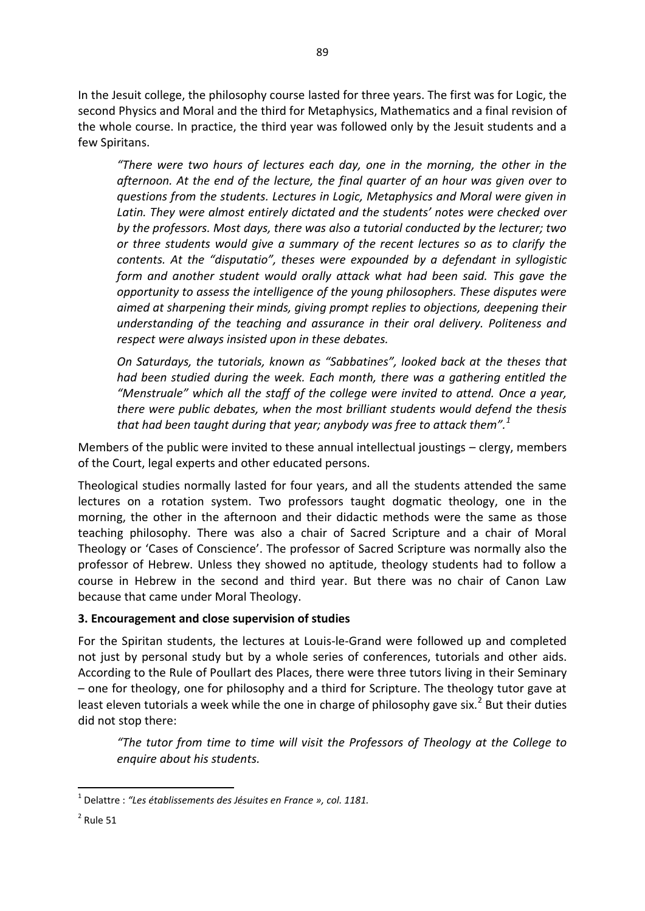In the Jesuit college, the philosophy course lasted for three years. The first was for Logic, the second Physics and Moral and the third for Metaphysics, Mathematics and a final revision of the whole course. In practice, the third year was followed only by the Jesuit students and a few Spiritans.

*"There were two hours of lectures each day, one in the morning, the other in the afternoon. At the end of the lecture, the final quarter of an hour was given over to questions from the students. Lectures in Logic, Metaphysics and Moral were given in Latin. They were almost entirely dictated and the students' notes were checked over by the professors. Most days, there was also a tutorial conducted by the lecturer; two or three students would give a summary of the recent lectures so as to clarify the contents. At the "disputatio", theses were expounded by a defendant in syllogistic form and another student would orally attack what had been said. This gave the opportunity to assess the intelligence of the young philosophers. These disputes were aimed at sharpening their minds, giving prompt replies to objections, deepening their understanding of the teaching and assurance in their oral delivery. Politeness and respect were always insisted upon in these debates.* 

*On Saturdays, the tutorials, known as "Sabbatines", looked back at the theses that had been studied during the week. Each month, there was a gathering entitled the "Menstruale" which all the staff of the college were invited to attend. Once a year, there were public debates, when the most brilliant students would defend the thesis that had been taught during that year; anybody was free to attack them".<sup>1</sup>* 

Members of the public were invited to these annual intellectual joustings – clergy, members of the Court, legal experts and other educated persons.

Theological studies normally lasted for four years, and all the students attended the same lectures on a rotation system. Two professors taught dogmatic theology, one in the morning, the other in the afternoon and their didactic methods were the same as those teaching philosophy. There was also a chair of Sacred Scripture and a chair of Moral Theology or 'Cases of Conscience'. The professor of Sacred Scripture was normally also the professor of Hebrew. Unless they showed no aptitude, theology students had to follow a course in Hebrew in the second and third year. But there was no chair of Canon Law because that came under Moral Theology.

### **3. Encouragement and close supervision of studies**

For the Spiritan students, the lectures at Louis-le-Grand were followed up and completed not just by personal study but by a whole series of conferences, tutorials and other aids. According to the Rule of Poullart des Places, there were three tutors living in their Seminary – one for theology, one for philosophy and a third for Scripture. The theology tutor gave at least eleven tutorials a week while the one in charge of philosophy gave six.<sup>2</sup> But their duties did not stop there:

*"The tutor from time to time will visit the Professors of Theology at the College to enquire about his students.* 

**.** 

<sup>1</sup> Delattre : *"Les établissements des Jésuites en France », col. 1181.* 

 $2$  Rule 51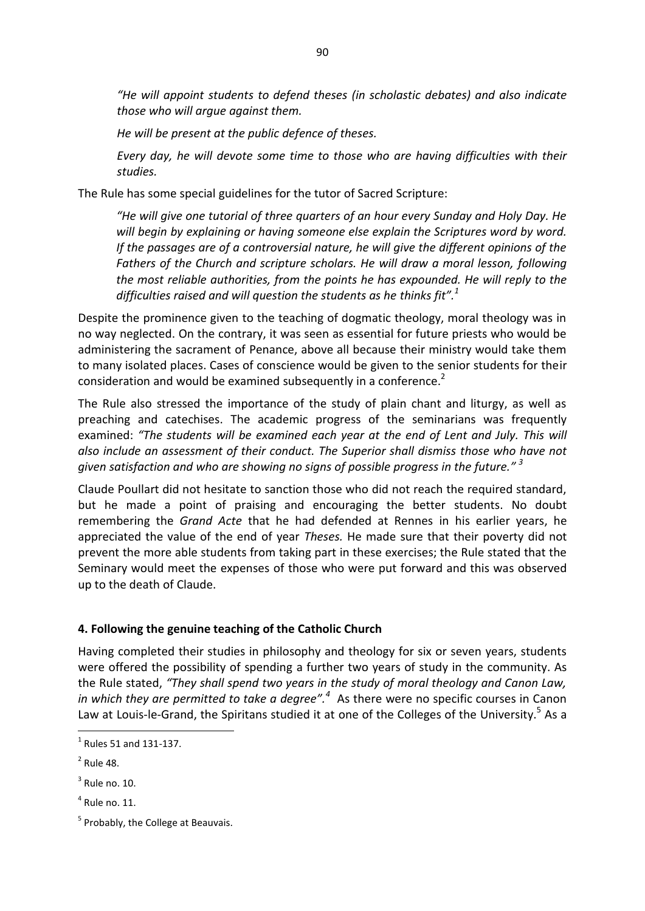*"He will appoint students to defend theses (in scholastic debates) and also indicate those who will argue against them.* 

*He will be present at the public defence of theses.* 

*Every day, he will devote some time to those who are having difficulties with their studies.* 

The Rule has some special guidelines for the tutor of Sacred Scripture:

*"He will give one tutorial of three quarters of an hour every Sunday and Holy Day. He will begin by explaining or having someone else explain the Scriptures word by word. If the passages are of a controversial nature, he will give the different opinions of the Fathers of the Church and scripture scholars. He will draw a moral lesson, following the most reliable authorities, from the points he has expounded. He will reply to the difficulties raised and will question the students as he thinks fit".<sup>1</sup>* 

Despite the prominence given to the teaching of dogmatic theology, moral theology was in no way neglected. On the contrary, it was seen as essential for future priests who would be administering the sacrament of Penance, above all because their ministry would take them to many isolated places. Cases of conscience would be given to the senior students for their consideration and would be examined subsequently in a conference.<sup>2</sup>

The Rule also stressed the importance of the study of plain chant and liturgy, as well as preaching and catechises. The academic progress of the seminarians was frequently examined: *"The students will be examined each year at the end of Lent and July. This will also include an assessment of their conduct. The Superior shall dismiss those who have not given satisfaction and who are showing no signs of possible progress in the future." <sup>3</sup>* 

Claude Poullart did not hesitate to sanction those who did not reach the required standard, but he made a point of praising and encouraging the better students. No doubt remembering the *Grand Acte* that he had defended at Rennes in his earlier years, he appreciated the value of the end of year *Theses.* He made sure that their poverty did not prevent the more able students from taking part in these exercises; the Rule stated that the Seminary would meet the expenses of those who were put forward and this was observed up to the death of Claude.

## **4. Following the genuine teaching of the Catholic Church**

Having completed their studies in philosophy and theology for six or seven years, students were offered the possibility of spending a further two years of study in the community. As the Rule stated, *"They shall spend two years in the study of moral theology and Canon Law, in which they are permitted to take a degree".<sup>4</sup>* As there were no specific courses in Canon Law at Louis-le-Grand, the Spiritans studied it at one of the Colleges of the University.<sup>5</sup> As a

1

 $<sup>1</sup>$  Rules 51 and 131-137.</sup>

 $2$  Rule 48.

 $3$  Rule no. 10.

 $<sup>4</sup>$  Rule no. 11.</sup>

<sup>&</sup>lt;sup>5</sup> Probably, the College at Beauvais.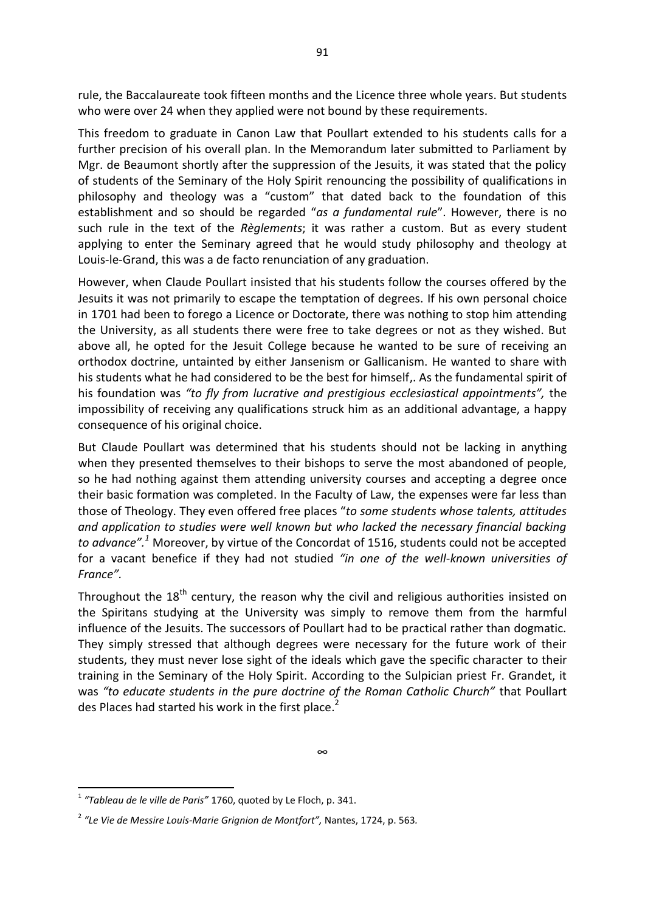rule, the Baccalaureate took fifteen months and the Licence three whole years. But students who were over 24 when they applied were not bound by these requirements.

This freedom to graduate in Canon Law that Poullart extended to his students calls for a further precision of his overall plan. In the Memorandum later submitted to Parliament by Mgr. de Beaumont shortly after the suppression of the Jesuits, it was stated that the policy of students of the Seminary of the Holy Spirit renouncing the possibility of qualifications in philosophy and theology was a "custom" that dated back to the foundation of this establishment and so should be regarded "*as a fundamental rule*". However, there is no such rule in the text of the *Règlements*; it was rather a custom. But as every student applying to enter the Seminary agreed that he would study philosophy and theology at Louis-le-Grand, this was a de facto renunciation of any graduation.

However, when Claude Poullart insisted that his students follow the courses offered by the Jesuits it was not primarily to escape the temptation of degrees. If his own personal choice in 1701 had been to forego a Licence or Doctorate, there was nothing to stop him attending the University, as all students there were free to take degrees or not as they wished. But above all, he opted for the Jesuit College because he wanted to be sure of receiving an orthodox doctrine, untainted by either Jansenism or Gallicanism. He wanted to share with his students what he had considered to be the best for himself,. As the fundamental spirit of his foundation was *"to fly from lucrative and prestigious ecclesiastical appointments",* the impossibility of receiving any qualifications struck him as an additional advantage, a happy consequence of his original choice.

But Claude Poullart was determined that his students should not be lacking in anything when they presented themselves to their bishops to serve the most abandoned of people, so he had nothing against them attending university courses and accepting a degree once their basic formation was completed. In the Faculty of Law, the expenses were far less than those of Theology. They even offered free places "*to some students whose talents, attitudes and application to studies were well known but who lacked the necessary financial backing*  to advance".<sup>1</sup> Moreover, by virtue of the Concordat of 1516, students could not be accepted for a vacant benefice if they had not studied *"in one of the well-known universities of France".* 

Throughout the  $18<sup>th</sup>$  century, the reason why the civil and religious authorities insisted on the Spiritans studying at the University was simply to remove them from the harmful influence of the Jesuits. The successors of Poullart had to be practical rather than dogmatic. They simply stressed that although degrees were necessary for the future work of their students, they must never lose sight of the ideals which gave the specific character to their training in the Seminary of the Holy Spirit. According to the Sulpician priest Fr. Grandet, it was *"to educate students in the pure doctrine of the Roman Catholic Church"* that Poullart des Places had started his work in the first place.<sup>2</sup>

**<sup>.</sup>** 1 *"Tableau de le ville de Paris"* 1760, quoted by Le Floch, p. 341.

<sup>2</sup> *"Le Vie de Messire Louis-Marie Grignion de Montfort",* Nantes, 1724, p. 563*.*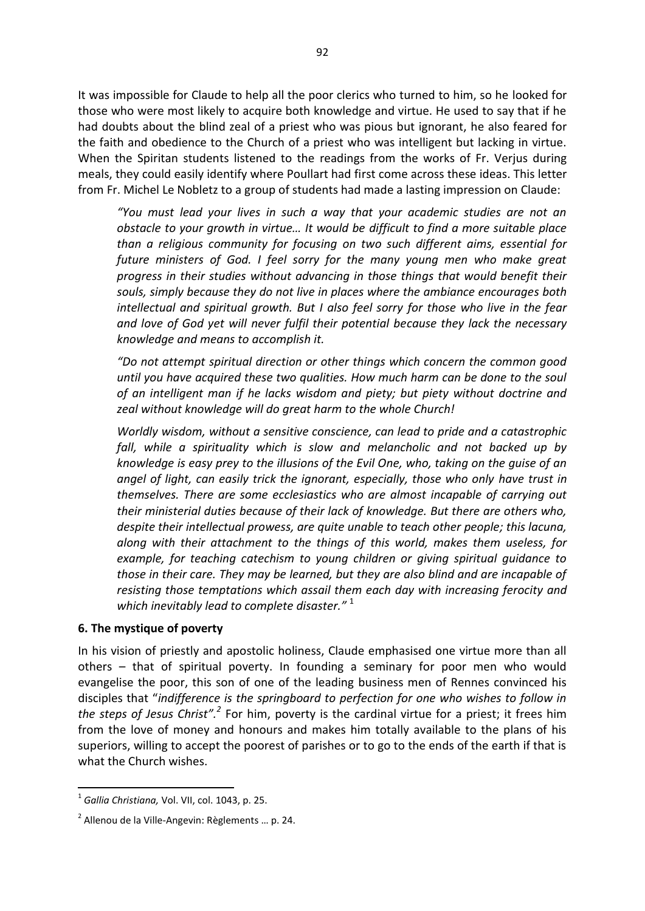It was impossible for Claude to help all the poor clerics who turned to him, so he looked for those who were most likely to acquire both knowledge and virtue. He used to say that if he had doubts about the blind zeal of a priest who was pious but ignorant, he also feared for the faith and obedience to the Church of a priest who was intelligent but lacking in virtue. When the Spiritan students listened to the readings from the works of Fr. Verjus during meals, they could easily identify where Poullart had first come across these ideas. This letter from Fr. Michel Le Nobletz to a group of students had made a lasting impression on Claude:

*"You must lead your lives in such a way that your academic studies are not an obstacle to your growth in virtue… It would be difficult to find a more suitable place than a religious community for focusing on two such different aims, essential for future ministers of God. I feel sorry for the many young men who make great progress in their studies without advancing in those things that would benefit their souls, simply because they do not live in places where the ambiance encourages both intellectual and spiritual growth. But I also feel sorry for those who live in the fear and love of God yet will never fulfil their potential because they lack the necessary knowledge and means to accomplish it.* 

*"Do not attempt spiritual direction or other things which concern the common good until you have acquired these two qualities. How much harm can be done to the soul of an intelligent man if he lacks wisdom and piety; but piety without doctrine and zeal without knowledge will do great harm to the whole Church!* 

*Worldly wisdom, without a sensitive conscience, can lead to pride and a catastrophic fall, while a spirituality which is slow and melancholic and not backed up by knowledge is easy prey to the illusions of the Evil One, who, taking on the guise of an angel of light, can easily trick the ignorant, especially, those who only have trust in themselves. There are some ecclesiastics who are almost incapable of carrying out their ministerial duties because of their lack of knowledge. But there are others who, despite their intellectual prowess, are quite unable to teach other people; this lacuna, along with their attachment to the things of this world, makes them useless, for example, for teaching catechism to young children or giving spiritual guidance to those in their care. They may be learned, but they are also blind and are incapable of resisting those temptations which assail them each day with increasing ferocity and which inevitably lead to complete disaster."* <sup>1</sup> 

#### **6. The mystique of poverty**

In his vision of priestly and apostolic holiness, Claude emphasised one virtue more than all others – that of spiritual poverty. In founding a seminary for poor men who would evangelise the poor, this son of one of the leading business men of Rennes convinced his disciples that "*indifference is the springboard to perfection for one who wishes to follow in*  the steps of Jesus Christ".<sup>2</sup> For him, poverty is the cardinal virtue for a priest; it frees him from the love of money and honours and makes him totally available to the plans of his superiors, willing to accept the poorest of parishes or to go to the ends of the earth if that is what the Church wishes.

**.** 

<sup>1</sup> *Gallia Christiana,* Vol. VII, col. 1043, p. 25.

<sup>&</sup>lt;sup>2</sup> Allenou de la Ville-Angevin: Règlements ... p. 24.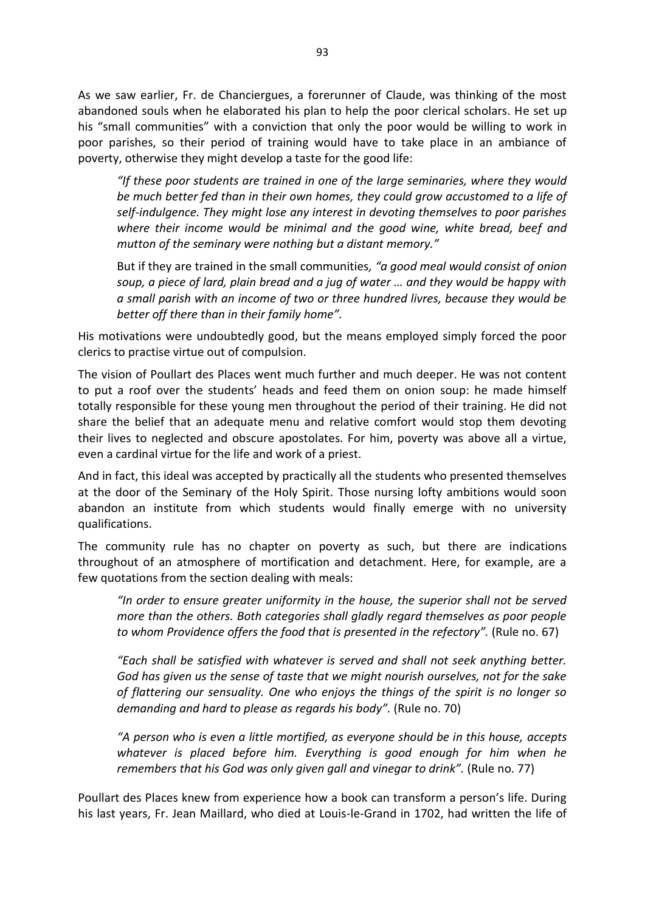As we saw earlier, Fr. de Chanciergues, a forerunner of Claude, was thinking of the most abandoned souls when he elaborated his plan to help the poor clerical scholars. He set up his "small communities" with a conviction that only the poor would be willing to work in poor parishes, so their period of training would have to take place in an ambiance of poverty, otherwise they might develop a taste for the good life:

*"If these poor students are trained in one of the large seminaries, where they would be much better fed than in their own homes, they could grow accustomed to a life of self-indulgence. They might lose any interest in devoting themselves to poor parishes where their income would be minimal and the good wine, white bread, beef and mutton of the seminary were nothing but a distant memory."*

But if they are trained in the small communities*, "a good meal would consist of onion soup, a piece of lard, plain bread and a jug of water … and they would be happy with a small parish with an income of two or three hundred livres, because they would be better off there than in their family home".* 

His motivations were undoubtedly good, but the means employed simply forced the poor clerics to practise virtue out of compulsion.

The vision of Poullart des Places went much further and much deeper. He was not content to put a roof over the students' heads and feed them on onion soup: he made himself totally responsible for these young men throughout the period of their training. He did not share the belief that an adequate menu and relative comfort would stop them devoting their lives to neglected and obscure apostolates. For him, poverty was above all a virtue, even a cardinal virtue for the life and work of a priest.

And in fact, this ideal was accepted by practically all the students who presented themselves at the door of the Seminary of the Holy Spirit. Those nursing lofty ambitions would soon abandon an institute from which students would finally emerge with no university qualifications.

The community rule has no chapter on poverty as such, but there are indications throughout of an atmosphere of mortification and detachment. Here, for example, are a few quotations from the section dealing with meals:

*"In order to ensure greater uniformity in the house, the superior shall not be served more than the others. Both categories shall gladly regard themselves as poor people to whom Providence offers the food that is presented in the refectory".* (Rule no. 67)

*"Each shall be satisfied with whatever is served and shall not seek anything better. God has given us the sense of taste that we might nourish ourselves, not for the sake of flattering our sensuality. One who enjoys the things of the spirit is no longer so demanding and hard to please as regards his body".* (Rule no. 70)

*"A person who is even a little mortified, as everyone should be in this house, accepts whatever is placed before him. Everything is good enough for him when he remembers that his God was only given gall and vinegar to drink".* (Rule no. 77)

Poullart des Places knew from experience how a book can transform a person's life. During his last years, Fr. Jean Maillard, who died at Louis-le-Grand in 1702, had written the life of